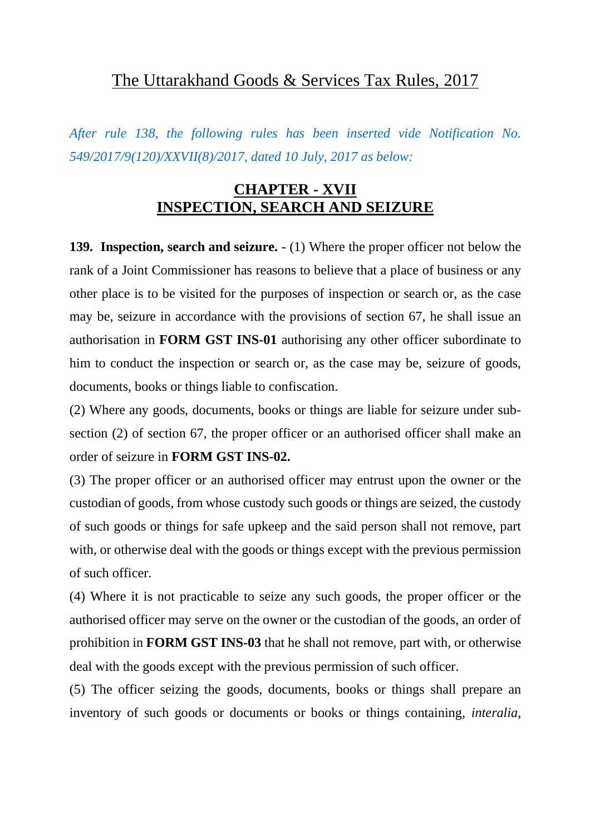*After rule 138, the following rules has been inserted vide Notification No. 549/2017/9(120)/XXVII(8)/2017, dated 10 July, 2017 as below:*

#### **CHAPTER - XVII INSPECTION, SEARCH AND SEIZURE**

**139. Inspection, search and seizure.** - (1) Where the proper officer not below the rank of a Joint Commissioner has reasons to believe that a place of business or any other place is to be visited for the purposes of inspection or search or, as the case may be, seizure in accordance with the provisions of section 67, he shall issue an authorisation in **FORM GST INS-01** authorising any other officer subordinate to him to conduct the inspection or search or, as the case may be, seizure of goods, documents, books or things liable to confiscation.

(2) Where any goods, documents, books or things are liable for seizure under subsection (2) of section 67, the proper officer or an authorised officer shall make an order of seizure in **FORM GST INS-02.**

(3) The proper officer or an authorised officer may entrust upon the owner or the custodian of goods, from whose custody such goods or things are seized, the custody of such goods or things for safe upkeep and the said person shall not remove, part with, or otherwise deal with the goods or things except with the previous permission of such officer.

(4) Where it is not practicable to seize any such goods, the proper officer or the authorised officer may serve on the owner or the custodian of the goods, an order of prohibition in **FORM GST INS-03** that he shall not remove, part with, or otherwise deal with the goods except with the previous permission of such officer.

(5) The officer seizing the goods, documents, books or things shall prepare an inventory of such goods or documents or books or things containing, *interalia*,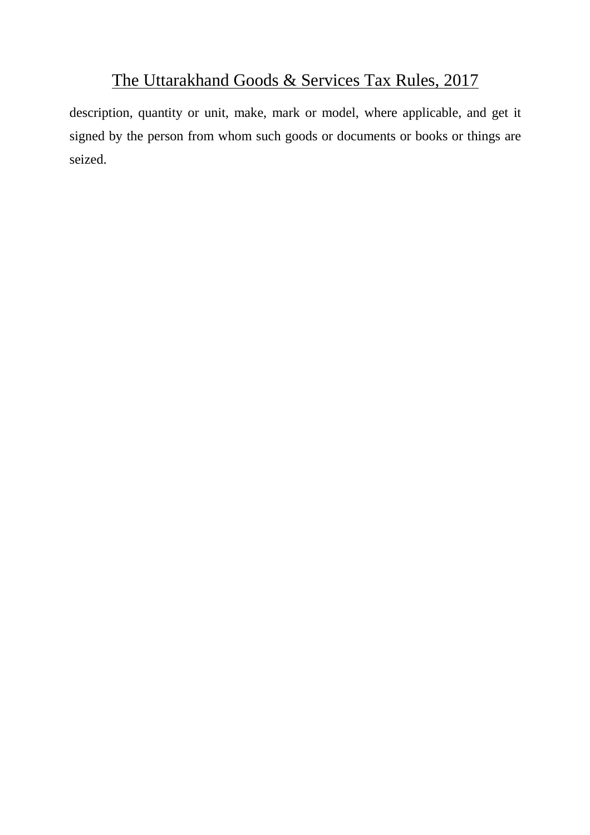description, quantity or unit, make, mark or model, where applicable, and get it signed by the person from whom such goods or documents or books or things are seized.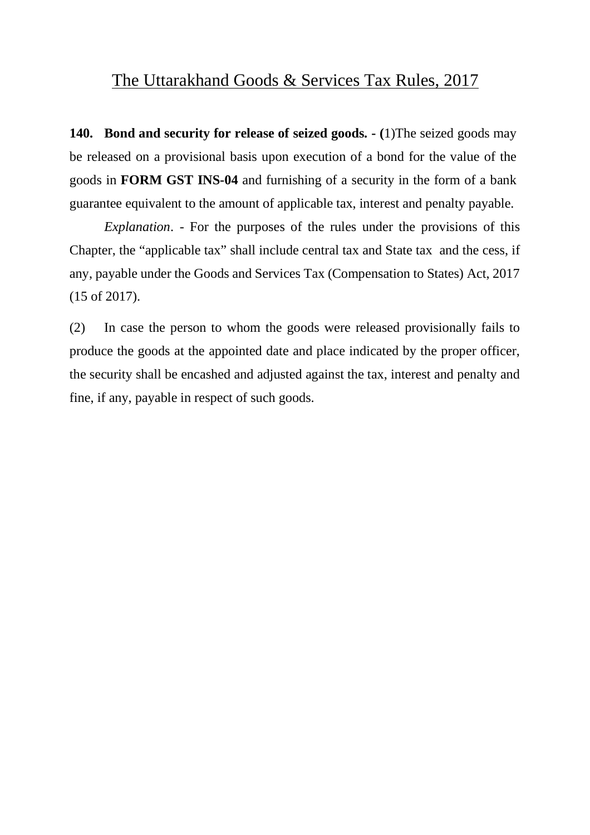**140. Bond and security for release of seized goods. - (**1)The seized goods may be released on a provisional basis upon execution of a bond for the value of the goods in **FORM GST INS-04** and furnishing of a security in the form of a bank guarantee equivalent to the amount of applicable tax, interest and penalty payable.

*Explanation*. - For the purposes of the rules under the provisions of this Chapter, the "applicable tax" shall include central tax and State tax and the cess, if any, payable under the Goods and Services Tax (Compensation to States) Act, 2017 (15 of 2017).

(2) In case the person to whom the goods were released provisionally fails to produce the goods at the appointed date and place indicated by the proper officer, the security shall be encashed and adjusted against the tax, interest and penalty and fine, if any, payable in respect of such goods.